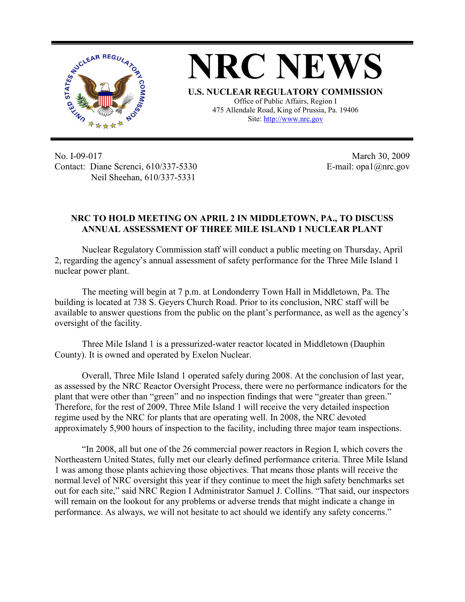

**NRC NEWS U.S. NUCLEAR REGULATORY COMMISSION** Office of Public Affairs, Region I 475 Allendale Road, King of Prussia, Pa. 19406 Site: http://www.nrc.gov

No. I-09-017 Contact: Diane Screnci, 610/337-5330 Neil Sheehan, 610/337-5331

March 30, 2009 E-mail: opa1@nrc.gov

## **NRC TO HOLD MEETING ON APRIL 2 IN MIDDLETOWN, PA., TO DISCUSS ANNUAL ASSESSMENT OF THREE MILE ISLAND 1 NUCLEAR PLANT**

Nuclear Regulatory Commission staff will conduct a public meeting on Thursday, April 2, regarding the agency's annual assessment of safety performance for the Three Mile Island 1 nuclear power plant.

The meeting will begin at 7 p.m. at Londonderry Town Hall in Middletown, Pa. The building is located at 738 S. Geyers Church Road. Prior to its conclusion, NRC staff will be available to answer questions from the public on the plant's performance, as well as the agency's oversight of the facility.

Three Mile Island 1 is a pressurized-water reactor located in Middletown (Dauphin County). It is owned and operated by Exelon Nuclear.

Overall, Three Mile Island 1 operated safely during 2008. At the conclusion of last year, as assessed by the NRC Reactor Oversight Process, there were no performance indicators for the plant that were other than "green" and no inspection findings that were "greater than green." Therefore, for the rest of 2009, Three Mile Island 1 will receive the very detailed inspection regime used by the NRC for plants that are operating well. In 2008, the NRC devoted approximately 5,900 hours of inspection to the facility, including three major team inspections.

"In 2008, all but one of the 26 commercial power reactors in Region I, which covers the Northeastern United States, fully met our clearly defined performance criteria. Three Mile Island 1 was among those plants achieving those objectives. That means those plants will receive the normal level of NRC oversight this year if they continue to meet the high safety benchmarks set out for each site," said NRC Region I Administrator Samuel J. Collins. "That said, our inspectors will remain on the lookout for any problems or adverse trends that might indicate a change in performance. As always, we will not hesitate to act should we identify any safety concerns."